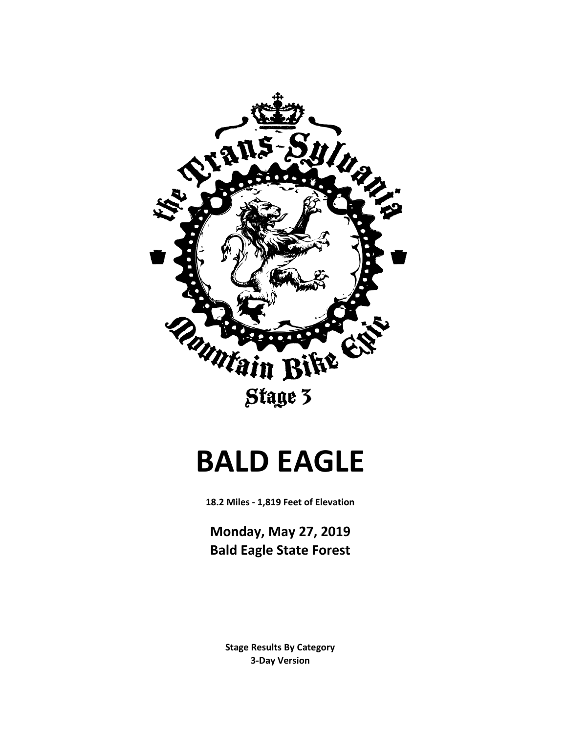

# **BALD EAGLE**

**18.2 Miles - 1,819 Feet of Elevation**

**Monday, May 27, 2019 Bald Eagle State Forest**

> **3-Day Version Stage Results By Category**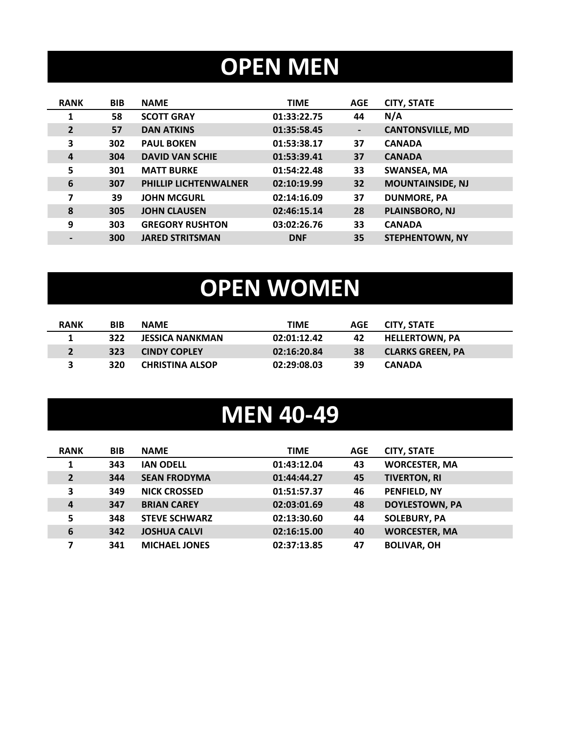# **OPEN MEN**

| <b>RANK</b>    | <b>BIB</b> | <b>NAME</b>                  | <b>TIME</b> | <b>AGE</b>     | <b>CITY, STATE</b>      |
|----------------|------------|------------------------------|-------------|----------------|-------------------------|
| $\mathbf{1}$   | 58         | <b>SCOTT GRAY</b>            | 01:33:22.75 | 44             | N/A                     |
| $\overline{2}$ | 57         | <b>DAN ATKINS</b>            | 01:35:58.45 | $\blacksquare$ | <b>CANTONSVILLE, MD</b> |
| 3              | 302        | <b>PAUL BOKEN</b>            | 01:53:38.17 | 37             | <b>CANADA</b>           |
| 4              | 304        | <b>DAVID VAN SCHIE</b>       | 01:53:39.41 | 37             | <b>CANADA</b>           |
| 5              | 301        | <b>MATT BURKE</b>            | 01:54:22.48 | 33             | <b>SWANSEA, MA</b>      |
| 6              | 307        | <b>PHILLIP LICHTENWALNER</b> | 02:10:19.99 | 32             | <b>MOUNTAINSIDE, NJ</b> |
| 7              | 39         | <b>JOHN MCGURL</b>           | 02:14:16.09 | 37             | <b>DUNMORE, PA</b>      |
| 8              | 305        | <b>JOHN CLAUSEN</b>          | 02:46:15.14 | 28             | PLAINSBORO, NJ          |
| 9              | 303        | <b>GREGORY RUSHTON</b>       | 03:02:26.76 | 33             | <b>CANADA</b>           |
|                | 300        | <b>JARED STRITSMAN</b>       | <b>DNF</b>  | 35             | <b>STEPHENTOWN, NY</b>  |
|                |            |                              |             |                |                         |

# **OPEN WOMEN**

| <b>RANK</b> | BIB | <b>NAME</b>            | TIME        | AGE | <b>CITY, STATE</b>      |
|-------------|-----|------------------------|-------------|-----|-------------------------|
|             | 322 | <b>JESSICA NANKMAN</b> | 02:01:12.42 | 42  | <b>HELLERTOWN. PA</b>   |
|             | 323 | <b>CINDY COPLEY</b>    | 02:16:20.84 | 38  | <b>CLARKS GREEN. PA</b> |
|             | 320 | <b>CHRISTINA ALSOP</b> | 02:29:08.03 | 39  | <b>CANADA</b>           |

### **MEN 40-49**

| <b>RANK</b>    | <b>BIB</b> | <b>NAME</b>          | <b>TIME</b> | <b>AGE</b> | <b>CITY, STATE</b>    |
|----------------|------------|----------------------|-------------|------------|-----------------------|
|                | 343        | <b>IAN ODELL</b>     | 01:43:12.04 | 43         | <b>WORCESTER, MA</b>  |
| $\overline{2}$ | 344        | <b>SEAN FRODYMA</b>  | 01:44:44.27 | 45         | <b>TIVERTON, RI</b>   |
| 3              | 349        | <b>NICK CROSSED</b>  | 01:51:57.37 | 46         | PENFIELD, NY          |
| 4              | 347        | <b>BRIAN CAREY</b>   | 02:03:01.69 | 48         | <b>DOYLESTOWN, PA</b> |
| 5              | 348        | <b>STEVE SCHWARZ</b> | 02:13:30.60 | 44         | <b>SOLEBURY, PA</b>   |
| 6              | 342        | <b>JOSHUA CALVI</b>  | 02:16:15.00 | 40         | <b>WORCESTER, MA</b>  |
| 7              | 341        | <b>MICHAEL JONES</b> | 02:37:13.85 | 47         | <b>BOLIVAR, OH</b>    |